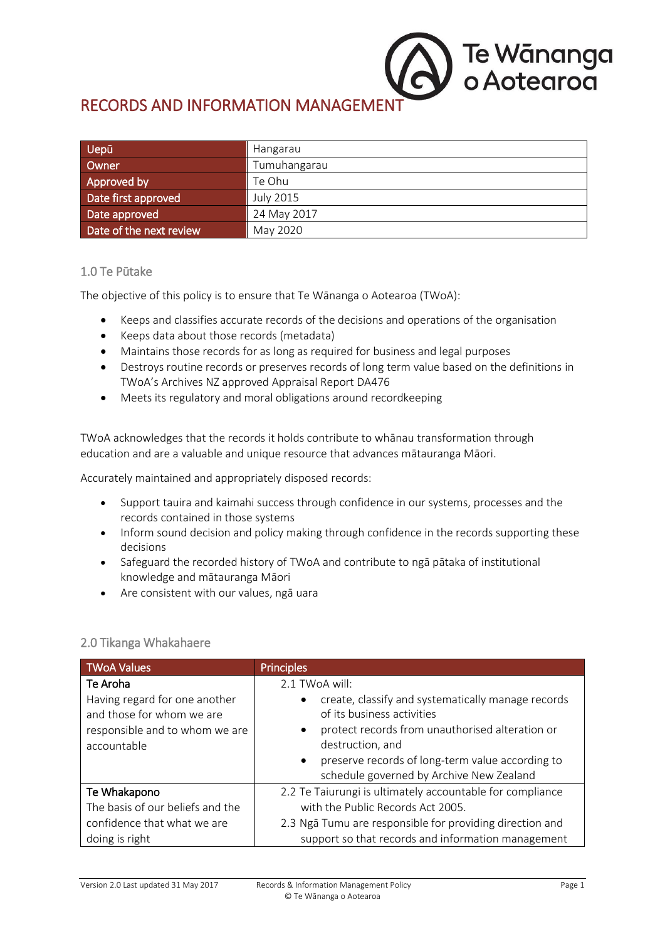# RECORDS AND INFORMATION MANAGEME

| Uepū                    | Hangarau         |
|-------------------------|------------------|
| Owner                   | Tumuhangarau     |
| Approved by             | Te Ohu           |
| Date first approved     | <b>July 2015</b> |
| Date approved           | 24 May 2017      |
| Date of the next review | May 2020         |

## 1.0 Te Pūtake

The objective of this policy is to ensure that Te Wānanga o Aotearoa (TWoA):

- Keeps and classifies accurate records of the decisions and operations of the organisation
- Keeps data about those records (metadata)
- Maintains those records for as long as required for business and legal purposes
- Destroys routine records or preserves records of long term value based on the definitions in TWoA's Archives NZ approved Appraisal Report DA476
- Meets its regulatory and moral obligations around recordkeeping

TWoA acknowledges that the records it holds contribute to whānau transformation through education and are a valuable and unique resource that advances mātauranga Māori.

Accurately maintained and appropriately disposed records:

- Support tauira and kaimahi success through confidence in our systems, processes and the records contained in those systems
- Inform sound decision and policy making through confidence in the records supporting these decisions
- Safeguard the recorded history of TWoA and contribute to ngā pātaka of institutional knowledge and mātauranga Māori
- Are consistent with our values, ngā uara

| <b>TWoA Values</b>                                         | <b>Principles</b>                                                                                         |
|------------------------------------------------------------|-----------------------------------------------------------------------------------------------------------|
| Te Aroha                                                   | 2.1 TWoA will:                                                                                            |
| Having regard for one another<br>and those for whom we are | create, classify and systematically manage records<br>of its business activities                          |
| responsible and to whom we are<br>accountable              | protect records from unauthorised alteration or<br>destruction, and                                       |
|                                                            | preserve records of long-term value according to<br>$\bullet$<br>schedule governed by Archive New Zealand |
| Te Whakapono                                               | 2.2 Te Taiurungi is ultimately accountable for compliance                                                 |
| The basis of our beliefs and the                           | with the Public Records Act 2005.                                                                         |
| confidence that what we are                                | 2.3 Ngā Tumu are responsible for providing direction and                                                  |
| doing is right                                             | support so that records and information management                                                        |

### 2.0 Tikanga Whakahaere

Te Wānanga<br>o Aotearoa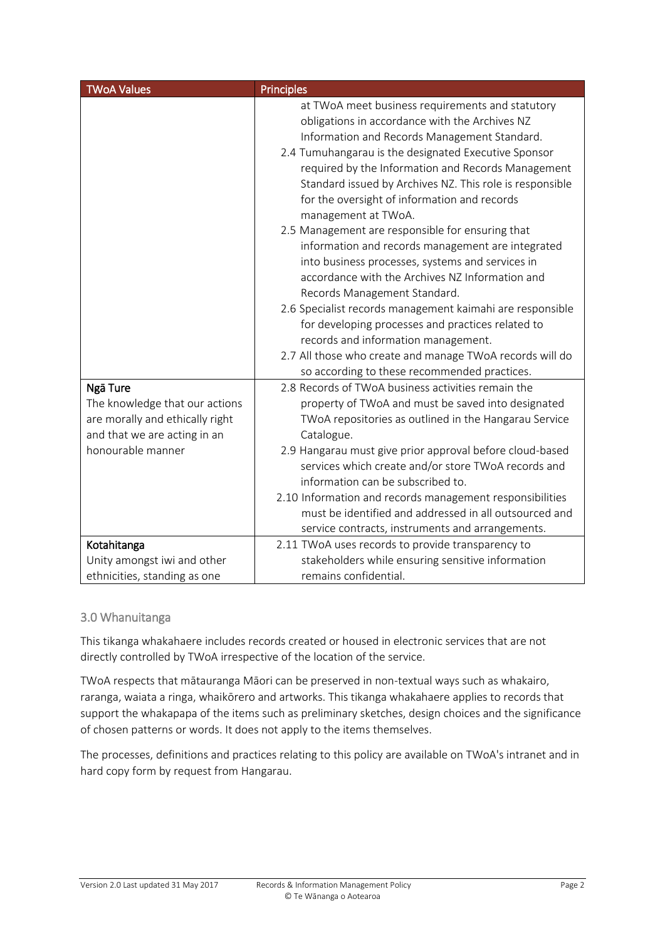| <b>TWoA Values</b>              | <b>Principles</b>                                         |
|---------------------------------|-----------------------------------------------------------|
|                                 | at TWoA meet business requirements and statutory          |
|                                 | obligations in accordance with the Archives NZ            |
|                                 | Information and Records Management Standard.              |
|                                 | 2.4 Tumuhangarau is the designated Executive Sponsor      |
|                                 | required by the Information and Records Management        |
|                                 | Standard issued by Archives NZ. This role is responsible  |
|                                 | for the oversight of information and records              |
|                                 | management at TWoA.                                       |
|                                 | 2.5 Management are responsible for ensuring that          |
|                                 | information and records management are integrated         |
|                                 | into business processes, systems and services in          |
|                                 | accordance with the Archives NZ Information and           |
|                                 | Records Management Standard.                              |
|                                 | 2.6 Specialist records management kaimahi are responsible |
|                                 | for developing processes and practices related to         |
|                                 | records and information management.                       |
|                                 | 2.7 All those who create and manage TWoA records will do  |
|                                 | so according to these recommended practices.              |
| Ngā Ture                        | 2.8 Records of TWoA business activities remain the        |
| The knowledge that our actions  | property of TWoA and must be saved into designated        |
| are morally and ethically right | TWoA repositories as outlined in the Hangarau Service     |
| and that we are acting in an    | Catalogue.                                                |
| honourable manner               | 2.9 Hangarau must give prior approval before cloud-based  |
|                                 | services which create and/or store TWoA records and       |
|                                 | information can be subscribed to.                         |
|                                 | 2.10 Information and records management responsibilities  |
|                                 | must be identified and addressed in all outsourced and    |
|                                 | service contracts, instruments and arrangements.          |
| Kotahitanga                     | 2.11 TWoA uses records to provide transparency to         |
| Unity amongst iwi and other     | stakeholders while ensuring sensitive information         |
| ethnicities, standing as one    | remains confidential.                                     |

# 3.0 Whanuitanga

This tikanga whakahaere includes records created or housed in electronic services that are not directly controlled by TWoA irrespective of the location of the service.

TWoA respects that mātauranga Māori can be preserved in non-textual ways such as whakairo, raranga, waiata a ringa, whaikōrero and artworks. This tikanga whakahaere applies to records that support the whakapapa of the items such as preliminary sketches, design choices and the significance of chosen patterns or words. It does not apply to the items themselves.

The processes, definitions and practices relating to this policy are available on TWoA's intranet and in hard copy form by request from Hangarau.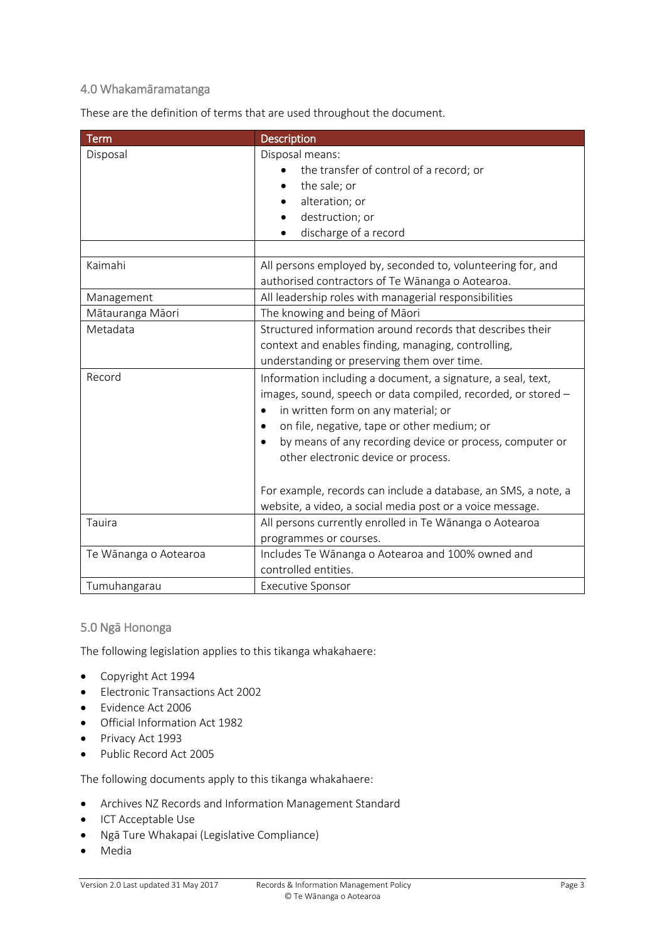## 4.0 Whakamāramatanga

These are the definition of terms that are used throughout the document.

| <b>Term</b>           | Description                                                    |
|-----------------------|----------------------------------------------------------------|
| Disposal              | Disposal means:                                                |
|                       | the transfer of control of a record; or                        |
|                       | the sale; or                                                   |
|                       | alteration; or                                                 |
|                       | destruction; or                                                |
|                       | discharge of a record                                          |
|                       |                                                                |
| Kaimahi               | All persons employed by, seconded to, volunteering for, and    |
|                       | authorised contractors of Te Wānanga o Aotearoa.               |
| Management            | All leadership roles with managerial responsibilities          |
| Mātauranga Māori      | The knowing and being of Māori                                 |
| Metadata              | Structured information around records that describes their     |
|                       | context and enables finding, managing, controlling,            |
|                       | understanding or preserving them over time.                    |
| Record                | Information including a document, a signature, a seal, text,   |
|                       | images, sound, speech or data compiled, recorded, or stored -  |
|                       | in written form on any material; or                            |
|                       | on file, negative, tape or other medium; or                    |
|                       | by means of any recording device or process, computer or       |
|                       | other electronic device or process.                            |
|                       |                                                                |
|                       | For example, records can include a database, an SMS, a note, a |
|                       | website, a video, a social media post or a voice message.      |
| Tauira                | All persons currently enrolled in Te Wānanga o Aotearoa        |
|                       | programmes or courses.                                         |
| Te Wānanga o Aotearoa | Includes Te Wānanga o Aotearoa and 100% owned and              |
|                       | controlled entities.                                           |
| Tumuhangarau          | <b>Executive Sponsor</b>                                       |

#### 5.0 Ngā Hononga

The following legislation applies to this tikanga whakahaere:

- Copyright Act 1994
- Electronic Transactions Act 2002
- Evidence Act 2006
- Official Information Act 1982
- Privacy Act 1993
- Public Record Act 2005

The following documents apply to this tikanga whakahaere:

- Archives NZ Records and Information Management Standard
- ICT Acceptable Use
- Ngā Ture Whakapai (Legislative Compliance)
- Media